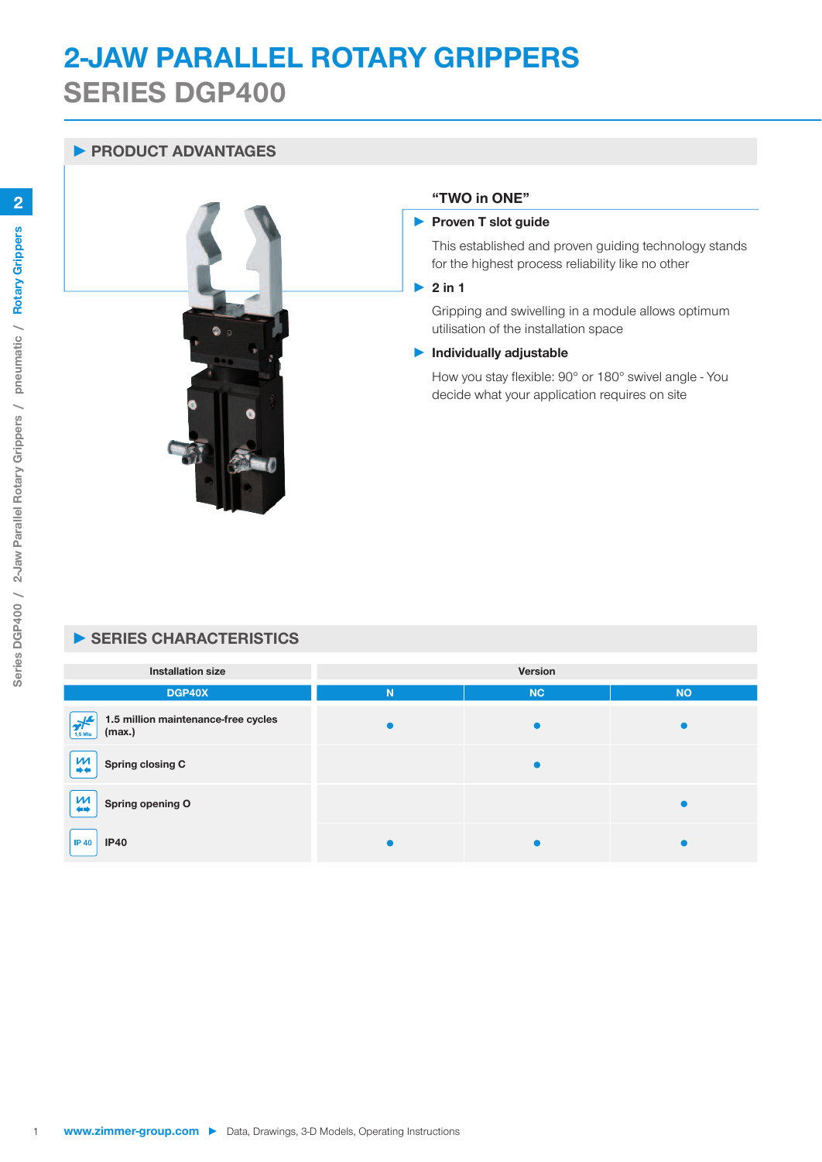# **2-JAW PARALLEL ROTARY GRIPPERS SERIES DGP400**

## PRODUCT ADVANTAGES



#### "TWO in ONE"

#### Proven T slot guide

This established and proven guiding technology stands for the highest process reliability like no other

#### $\blacktriangleright$  2 in 1

Gripping and swivelling in a module allows optimum utilisation of the installation space

#### Individually adjustable

How you stay flexible: 90° or 180° swivel angle - You decide what your application requires on site

## SERIES CHARACTERISTICS

| <b>Installation size</b>                                                               | Version   |           |           |
|----------------------------------------------------------------------------------------|-----------|-----------|-----------|
| DGP40X                                                                                 | N         | <b>NC</b> | <b>NO</b> |
| 1.5 million maintenance-free cycles<br>$\mathbf{F}^{\mathbf{c}'}$<br>(max.)<br>1,5 Mio | $\bullet$ |           |           |
| $\frac{M}{+}$<br>Spring closing C                                                      |           | $\bullet$ |           |
| $\frac{M}{4}$<br>Spring opening O                                                      |           |           |           |
| <b>IP40</b><br><b>IP 40</b>                                                            |           |           |           |